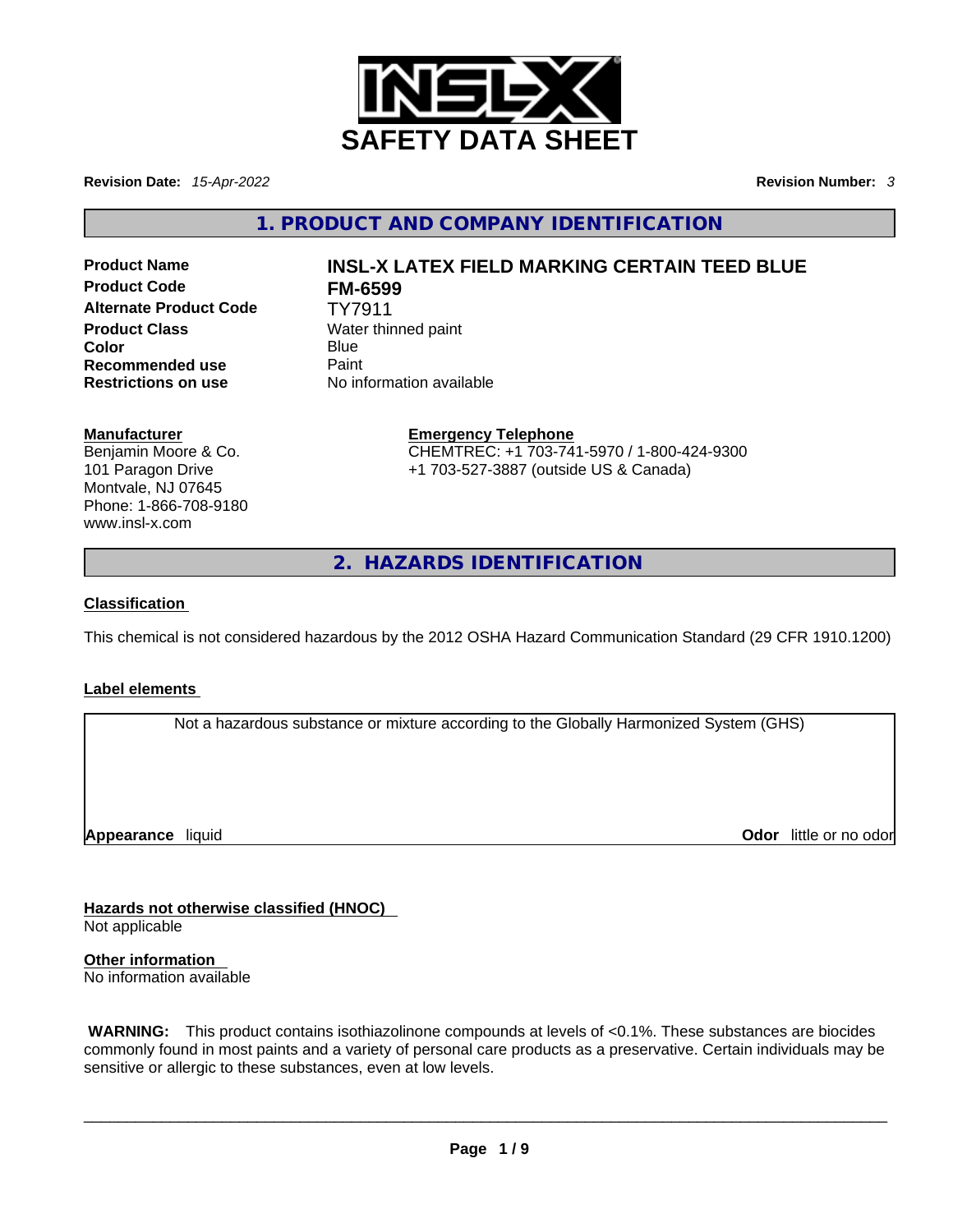

**Revision Date:** *15-Apr-2022* **Revision Number:** *3*

**1. PRODUCT AND COMPANY IDENTIFICATION** 

**Product Code FM-6599 Alternate Product Code** TY7911 **Product Class Water thinned paint Color** Blue Blue **Blue Recommended use Paint Restrictions on use** No information available

# **Product Name INSL-X LATEX FIELD MARKING CERTAIN TEED BLUE**

### **Manufacturer**

Benjamin Moore & Co. 101 Paragon Drive Montvale, NJ 07645 Phone: 1-866-708-9180 www.insl-x.com

**Emergency Telephone** CHEMTREC: +1 703-741-5970 / 1-800-424-9300 +1 703-527-3887 (outside US & Canada)

**2. HAZARDS IDENTIFICATION** 

### **Classification**

This chemical is not considered hazardous by the 2012 OSHA Hazard Communication Standard (29 CFR 1910.1200)

### **Label elements**

Not a hazardous substance or mixture according to the Globally Harmonized System (GHS)

**Appearance** liquid

**Odor** little or no odor

**Hazards not otherwise classified (HNOC)**  Not applicable

**Other information**  No information available

 **WARNING:** This product contains isothiazolinone compounds at levels of <0.1%. These substances are biocides commonly found in most paints and a variety of personal care products as a preservative. Certain individuals may be sensitive or allergic to these substances, even at low levels.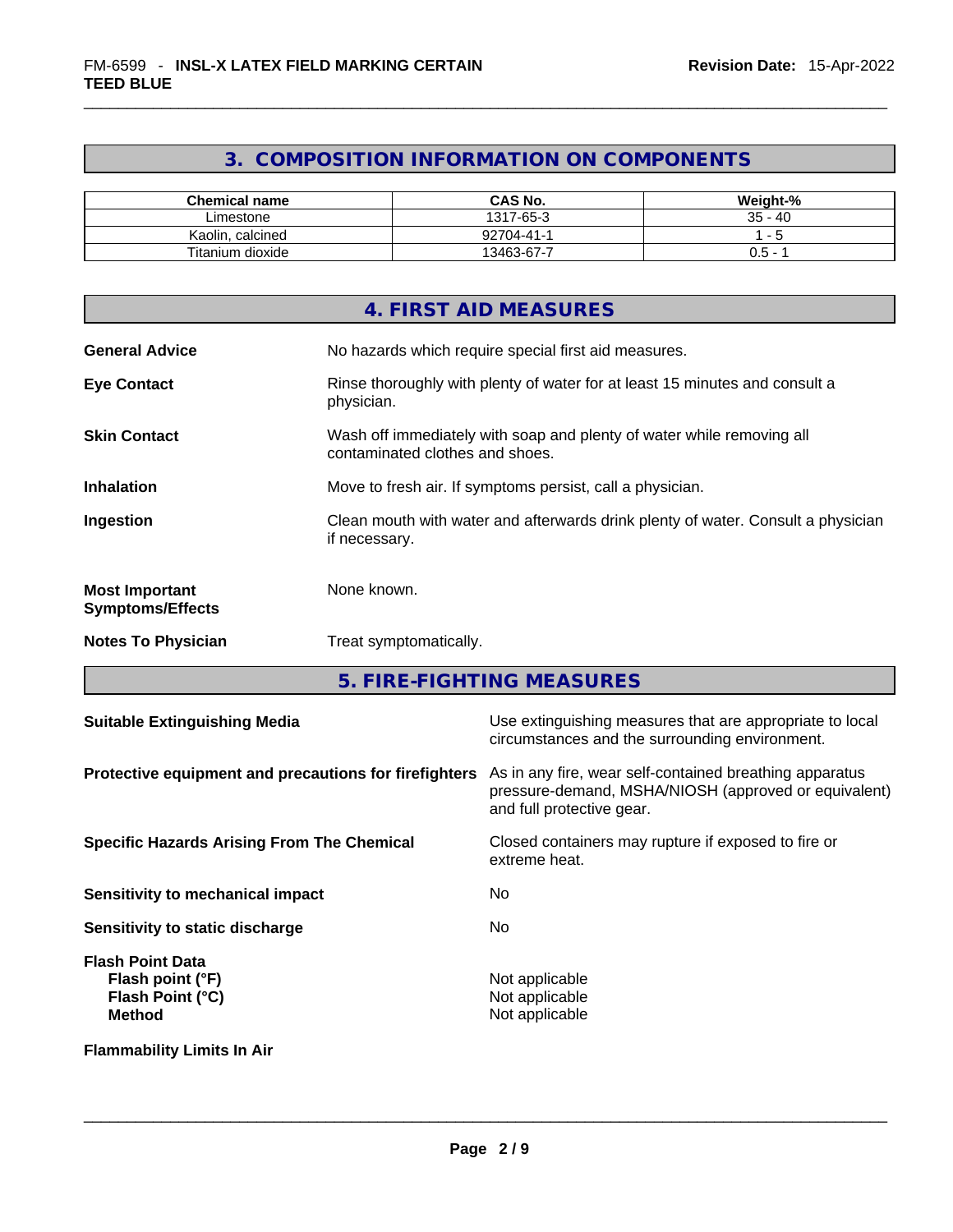## **3. COMPOSITION INFORMATION ON COMPONENTS**

| <b>Chemical name</b> | <b>CAS No.</b> | Weight-%                        |
|----------------------|----------------|---------------------------------|
| Limestone            | 1317-65-3      | 35 -<br>-40                     |
| Kaolin<br>calcined   | 92704-41-1     |                                 |
| Titanium dioxide     | 13463-67-7     | J.5<br>$\overline{\phantom{0}}$ |

|                                                  | 4. FIRST AID MEASURES                                                                                    |
|--------------------------------------------------|----------------------------------------------------------------------------------------------------------|
| <b>General Advice</b>                            | No hazards which require special first aid measures.                                                     |
| <b>Eye Contact</b>                               | Rinse thoroughly with plenty of water for at least 15 minutes and consult a<br>physician.                |
| <b>Skin Contact</b>                              | Wash off immediately with soap and plenty of water while removing all<br>contaminated clothes and shoes. |
| <b>Inhalation</b>                                | Move to fresh air. If symptoms persist, call a physician.                                                |
| Ingestion                                        | Clean mouth with water and afterwards drink plenty of water. Consult a physician<br>if necessary.        |
| <b>Most Important</b><br><b>Symptoms/Effects</b> | None known.                                                                                              |
| <b>Notes To Physician</b>                        | Treat symptomatically.                                                                                   |
|                                                  |                                                                                                          |

**5. FIRE-FIGHTING MEASURES** 

| <b>Suitable Extinguishing Media</b>                                              | Use extinguishing measures that are appropriate to local<br>circumstances and the surrounding environment.                                   |
|----------------------------------------------------------------------------------|----------------------------------------------------------------------------------------------------------------------------------------------|
| Protective equipment and precautions for firefighters                            | As in any fire, wear self-contained breathing apparatus<br>pressure-demand, MSHA/NIOSH (approved or equivalent)<br>and full protective gear. |
| <b>Specific Hazards Arising From The Chemical</b>                                | Closed containers may rupture if exposed to fire or<br>extreme heat.                                                                         |
| Sensitivity to mechanical impact                                                 | No.                                                                                                                                          |
| Sensitivity to static discharge                                                  | No.                                                                                                                                          |
| <b>Flash Point Data</b><br>Flash point (°F)<br>Flash Point (°C)<br><b>Method</b> | Not applicable<br>Not applicable<br>Not applicable                                                                                           |
| <b>Flammability Limits In Air</b>                                                |                                                                                                                                              |
|                                                                                  |                                                                                                                                              |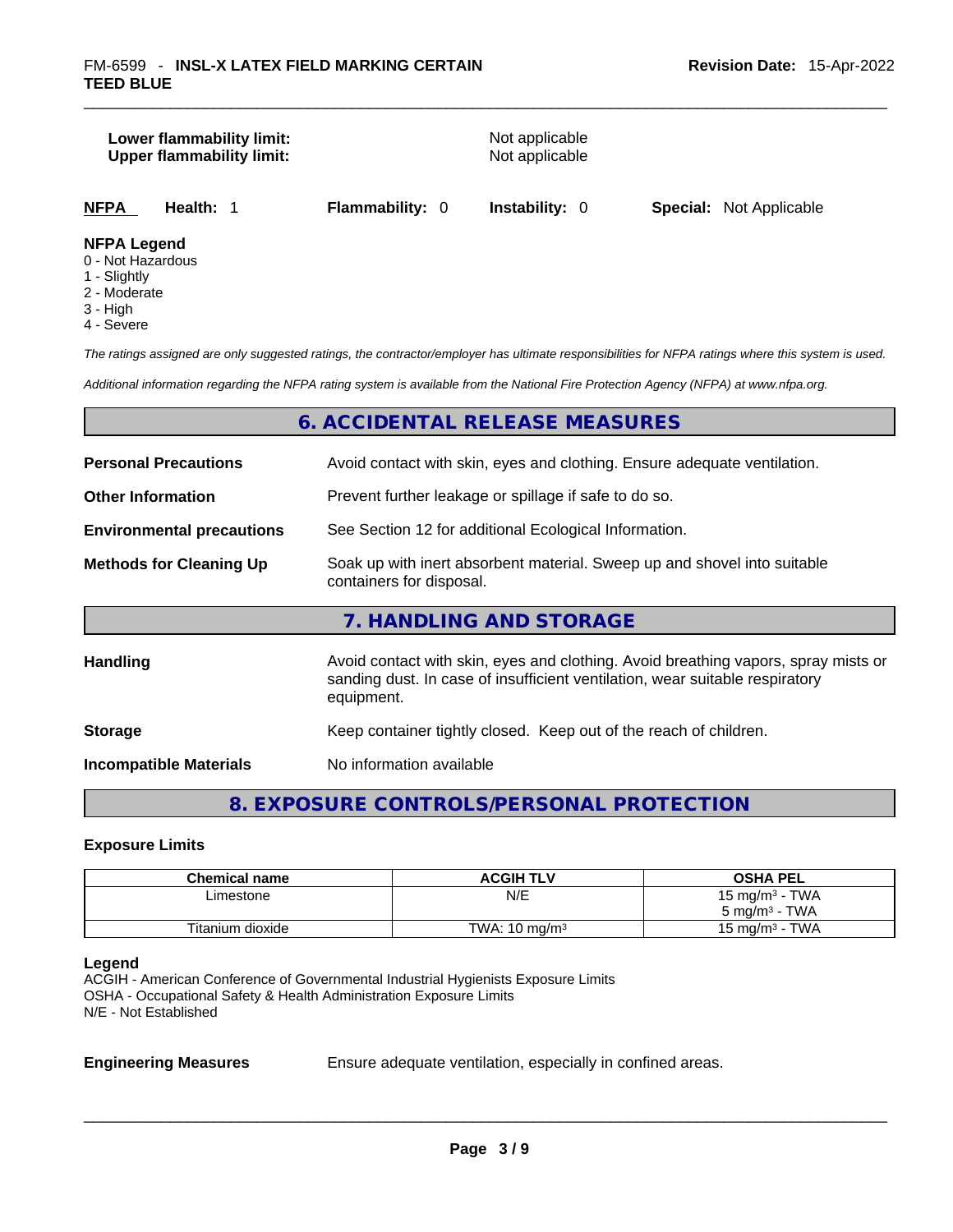|                    | Lower flammability limit:<br><b>Upper flammability limit:</b> |                        | Not applicable<br>Not applicable |                                |
|--------------------|---------------------------------------------------------------|------------------------|----------------------------------|--------------------------------|
| NFPA               | Health: 1                                                     | <b>Flammability: 0</b> | <b>Instability: 0</b>            | <b>Special: Not Applicable</b> |
| <b>NFPA Legend</b> |                                                               |                        |                                  |                                |

### 0 - Not Hazardous

- 1 Slightly
- 2 Moderate
- 3 High
- 4 Severe

*The ratings assigned are only suggested ratings, the contractor/employer has ultimate responsibilities for NFPA ratings where this system is used.* 

*Additional information regarding the NFPA rating system is available from the National Fire Protection Agency (NFPA) at www.nfpa.org.* 

### **6. ACCIDENTAL RELEASE MEASURES**

| <b>Personal Precautions</b>      | Avoid contact with skin, eyes and clothing. Ensure adequate ventilation.                                                                                                         |
|----------------------------------|----------------------------------------------------------------------------------------------------------------------------------------------------------------------------------|
| <b>Other Information</b>         | Prevent further leakage or spillage if safe to do so.                                                                                                                            |
| <b>Environmental precautions</b> | See Section 12 for additional Ecological Information.                                                                                                                            |
| <b>Methods for Cleaning Up</b>   | Soak up with inert absorbent material. Sweep up and shovel into suitable<br>containers for disposal.                                                                             |
|                                  | 7. HANDLING AND STORAGE                                                                                                                                                          |
| <b>Handling</b>                  | Avoid contact with skin, eyes and clothing. Avoid breathing vapors, spray mists or<br>sanding dust. In case of insufficient ventilation, wear suitable respiratory<br>equipment. |
| <b>Storage</b>                   | Keep container tightly closed. Keep out of the reach of children.                                                                                                                |
| <b>Incompatible Materials</b>    | No information available                                                                                                                                                         |

### **8. EXPOSURE CONTROLS/PERSONAL PROTECTION**

### **Exposure Limits**

| <b>Chemical name</b> | <b>ACGIH TLV</b>         | <b>OSHA PEL</b>          |
|----------------------|--------------------------|--------------------------|
| Limestone            | N/E                      | 15 mg/m $3$ - TWA        |
|                      |                          | $5 \text{ ma/m}^3$ - TWA |
| Titanium dioxide     | TWA: $10 \text{ ma/m}^3$ | 15 mg/m $3$ - TWA        |

### **Legend**

ACGIH - American Conference of Governmental Industrial Hygienists Exposure Limits OSHA - Occupational Safety & Health Administration Exposure Limits N/E - Not Established

**Engineering Measures** Ensure adequate ventilation, especially in confined areas.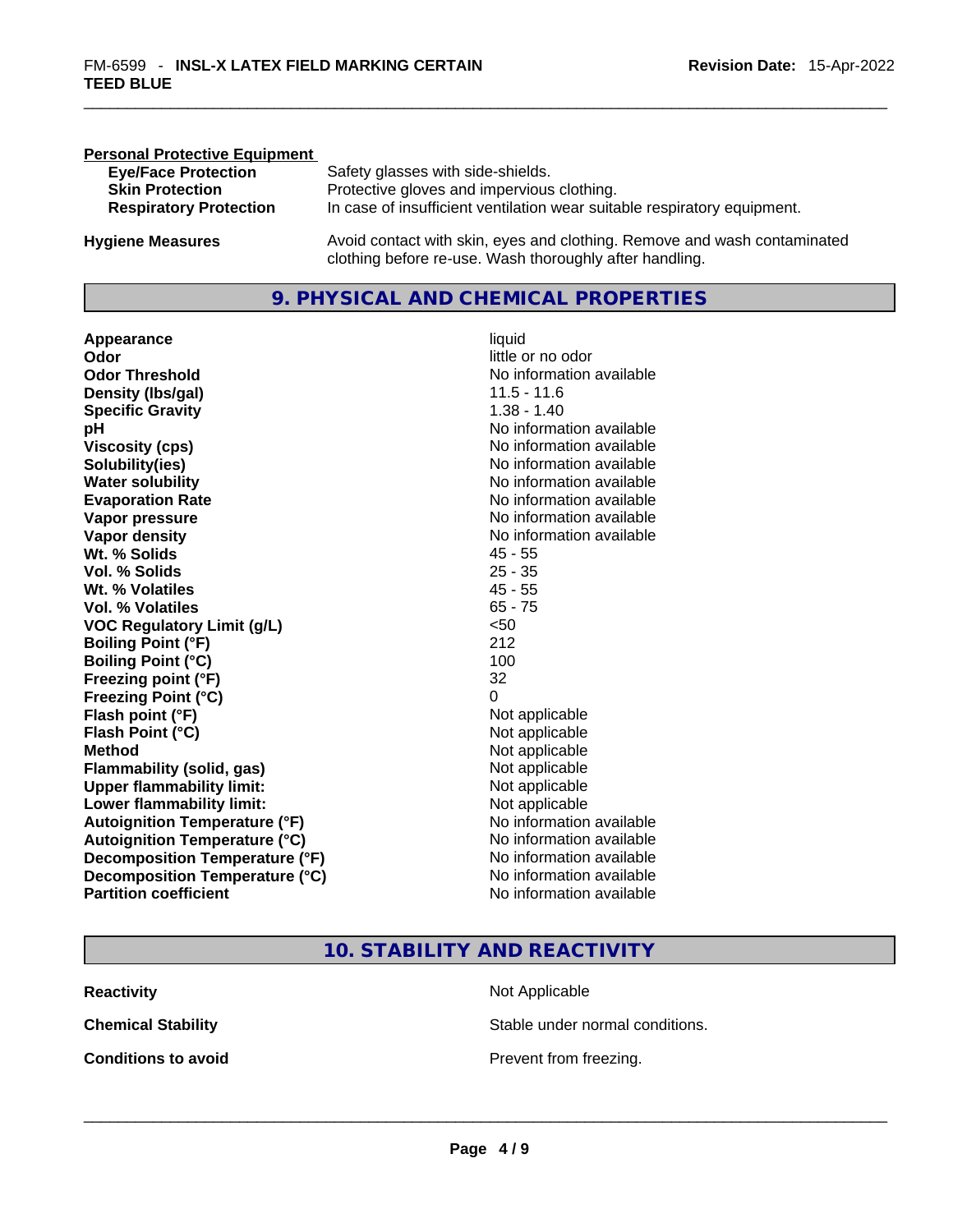| <b>Personal Protective Equipment</b> |                                                                                                                                     |
|--------------------------------------|-------------------------------------------------------------------------------------------------------------------------------------|
| <b>Eye/Face Protection</b>           | Safety glasses with side-shields.                                                                                                   |
| <b>Skin Protection</b>               | Protective gloves and impervious clothing.                                                                                          |
| <b>Respiratory Protection</b>        | In case of insufficient ventilation wear suitable respiratory equipment.                                                            |
| <b>Hygiene Measures</b>              | Avoid contact with skin, eyes and clothing. Remove and wash contaminated<br>clothing before re-use. Wash thoroughly after handling. |

### **9. PHYSICAL AND CHEMICAL PROPERTIES**

**Appearance** liquid **Odor** little or no odor **Odor Threshold**<br> **Density (Ibs/aal)**<br> **Density (Ibs/aal)**<br> **No information available**<br>
11.5 - 11.6 **Density (Ibs/gal)** 11.5 - 11.6<br> **Specific Gravity** 1.38 - 1.40 **Specific Gravity pH pH No** information available **Viscosity (cps) Viscosity (cps) No information available Solubility(ies)**<br> **Solubility**<br> **Water solubility**<br> **Water solubility Evaporation Rate No information available No information available Vapor pressure**  No information available **No information** available **Vapor density No information available No** information available **Wt. % Solids** 45 - 55 **Vol. % Solids** 25 - 35 **Wt. % Volatiles Vol. % Volatiles** 65 - 75<br> **VOC Requiatory Limit (q/L)** 65 - 75 **VOC** Regulatory Limit (g/L) **Boiling Point (°F)** 212 **Boiling Point (°C)** 100 **Freezing point (°F)** 32 **Freezing Point (°C)** 0 **Flash point (°F)** Not applicable **Flash Point (°C)** Not applicable **Method** Not applicable **Flammability (solid, gas)** Not applicable **Upper flammability limit:**<br> **Lower flammability limit:**<br>
Not applicable<br>
Not applicable **Lower flammability limit:**<br> **Autoignition Temperature (°F)** Not applicable have not available **Autoignition Temperature (°F)**<br> **Autoignition Temperature (°C)** No information available **Autoignition Temperature (°C) Decomposition Temperature (°F)** No information available **Decomposition Temperature (°C)** No information available **Partition coefficient Community Contract Contract Contract Contract Contract Contract Contract Contract Contract Contract Contract Contract Contract Contract Contract Contract Contract Contract Contract Contract Contr** 

# **No information available**

### **10. STABILITY AND REACTIVITY**

| <b>Reactivity</b>          | Not Applicable                  |
|----------------------------|---------------------------------|
| <b>Chemical Stability</b>  | Stable under normal conditions. |
| <b>Conditions to avoid</b> | Prevent from freezing.          |
|                            |                                 |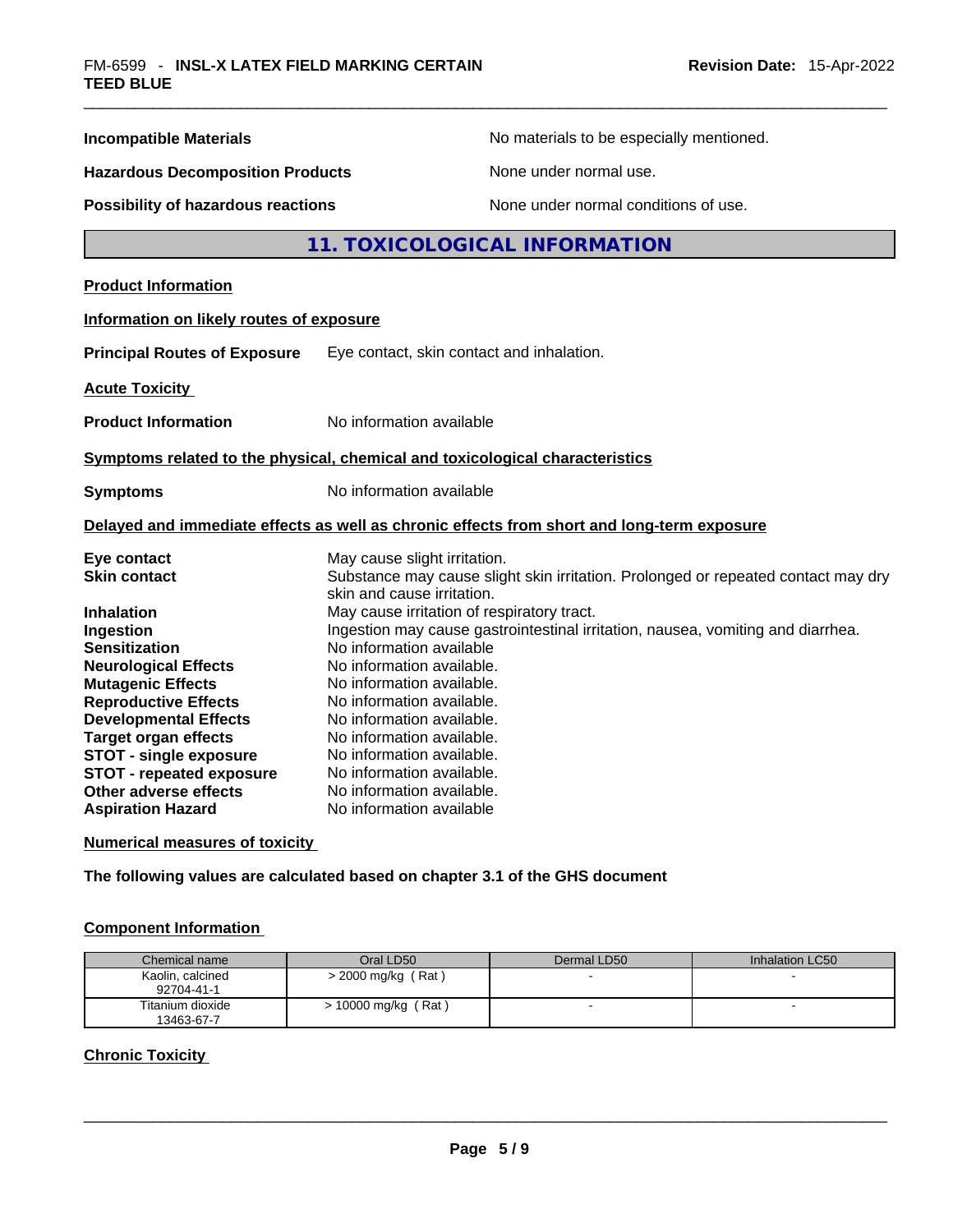| <b>Incompatible Materials</b>                            | No materials to be especially mentioned.                                                                        |
|----------------------------------------------------------|-----------------------------------------------------------------------------------------------------------------|
| <b>Hazardous Decomposition Products</b>                  | None under normal use.                                                                                          |
| Possibility of hazardous reactions                       | None under normal conditions of use.                                                                            |
|                                                          | 11. TOXICOLOGICAL INFORMATION                                                                                   |
| <b>Product Information</b>                               |                                                                                                                 |
| Information on likely routes of exposure                 |                                                                                                                 |
| <b>Principal Routes of Exposure</b>                      | Eye contact, skin contact and inhalation.                                                                       |
| <b>Acute Toxicity</b>                                    |                                                                                                                 |
| <b>Product Information</b>                               | No information available                                                                                        |
|                                                          | Symptoms related to the physical, chemical and toxicological characteristics                                    |
| <b>Symptoms</b>                                          | No information available                                                                                        |
|                                                          | Delayed and immediate effects as well as chronic effects from short and long-term exposure                      |
| Eye contact                                              | May cause slight irritation.                                                                                    |
| <b>Skin contact</b>                                      | Substance may cause slight skin irritation. Prolonged or repeated contact may dry<br>skin and cause irritation. |
| <b>Inhalation</b>                                        | May cause irritation of respiratory tract.                                                                      |
| Ingestion                                                | Ingestion may cause gastrointestinal irritation, nausea, vomiting and diarrhea.                                 |
| <b>Sensitization</b>                                     | No information available                                                                                        |
| <b>Neurological Effects</b>                              | No information available.                                                                                       |
| <b>Mutagenic Effects</b>                                 | No information available.                                                                                       |
| <b>Reproductive Effects</b>                              | No information available.                                                                                       |
| <b>Developmental Effects</b>                             | No information available.                                                                                       |
| <b>Target organ effects</b>                              | No information available.                                                                                       |
| <b>STOT - single exposure</b>                            | No information available.<br>No information available.                                                          |
| <b>STOT - repeated exposure</b><br>Other adverse effects | No information available.                                                                                       |
| <b>Aspiration Hazard</b>                                 | No information available                                                                                        |
|                                                          |                                                                                                                 |

### **Numerical measures of toxicity**

**The following values are calculated based on chapter 3.1 of the GHS document**

### **Component Information**

| Chemical name                  | Oral LD50             | Dermal LD50              | Inhalation LC50 |
|--------------------------------|-----------------------|--------------------------|-----------------|
| Kaolin, calcined<br>92704-41-1 | $>$ 2000 mg/kg (Rat)  | $\overline{\phantom{a}}$ |                 |
| Titanium dioxide<br>13463-67-7 | $> 10000$ mg/kg (Rat) |                          | -               |

### **Chronic Toxicity**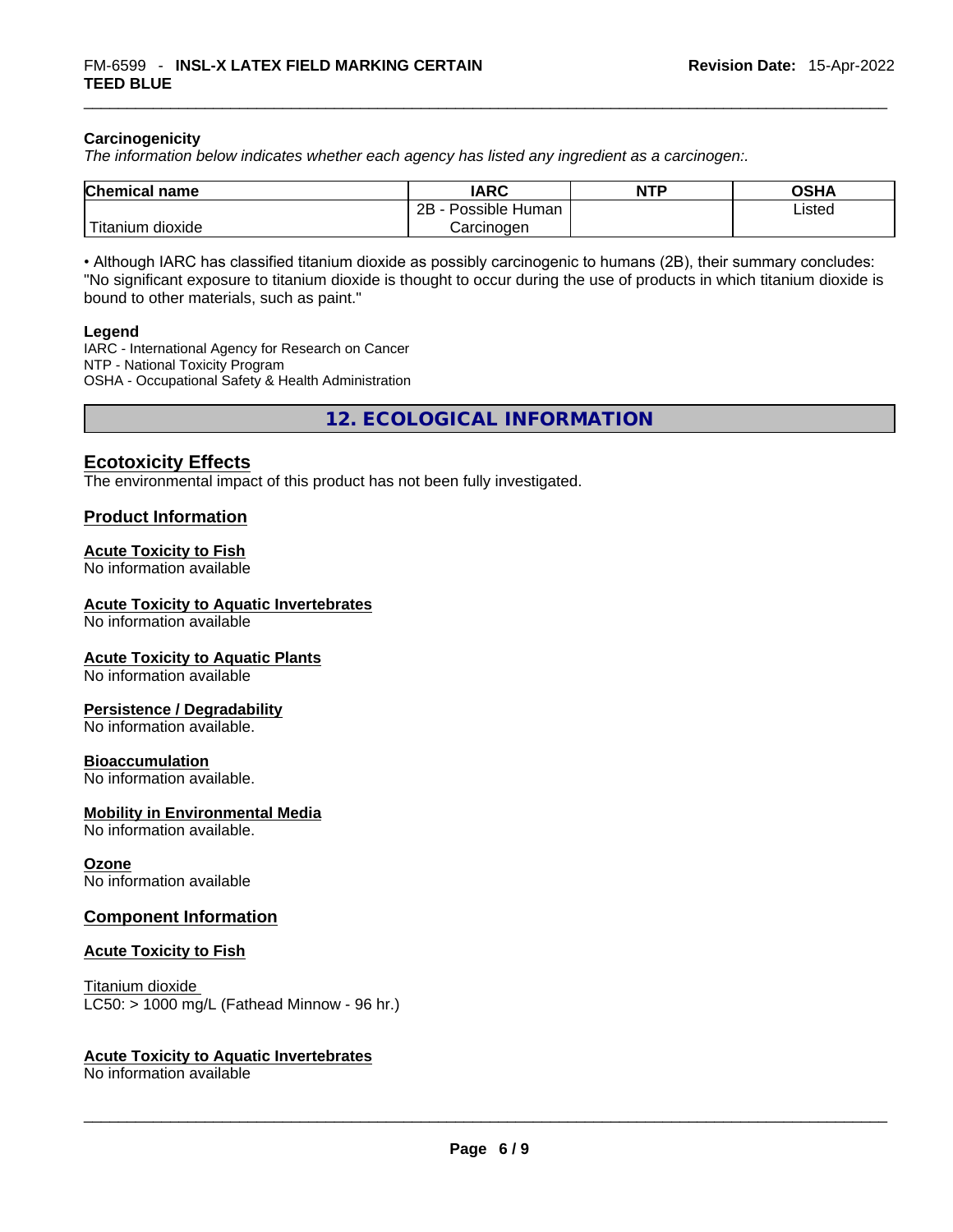### **Carcinogenicity**

*The information below indicates whether each agency has listed any ingredient as a carcinogen:.* 

| <b>Chemical name</b> | IARC                 | <b>NTP</b> | OSHA   |
|----------------------|----------------------|------------|--------|
|                      | 2B<br>Possible Human |            | Listed |
| Titanium<br>dioxide  | Carcinogen           |            |        |

• Although IARC has classified titanium dioxide as possibly carcinogenic to humans (2B), their summary concludes: "No significant exposure to titanium dioxide is thought to occur during the use of products in which titanium dioxide is bound to other materials, such as paint."

### **Legend**

IARC - International Agency for Research on Cancer NTP - National Toxicity Program OSHA - Occupational Safety & Health Administration

**12. ECOLOGICAL INFORMATION** 

### **Ecotoxicity Effects**

The environmental impact of this product has not been fully investigated.

### **Product Information**

### **Acute Toxicity to Fish**

No information available

### **Acute Toxicity to Aquatic Invertebrates**

No information available

### **Acute Toxicity to Aquatic Plants**

No information available

### **Persistence / Degradability**

No information available.

### **Bioaccumulation**

No information available.

### **Mobility in Environmental Media**

No information available.

### **Ozone**

No information available

### **Component Information**

### **Acute Toxicity to Fish**

Titanium dioxide  $LC50: > 1000$  mg/L (Fathead Minnow - 96 hr.)

### **Acute Toxicity to Aquatic Invertebrates**

No information available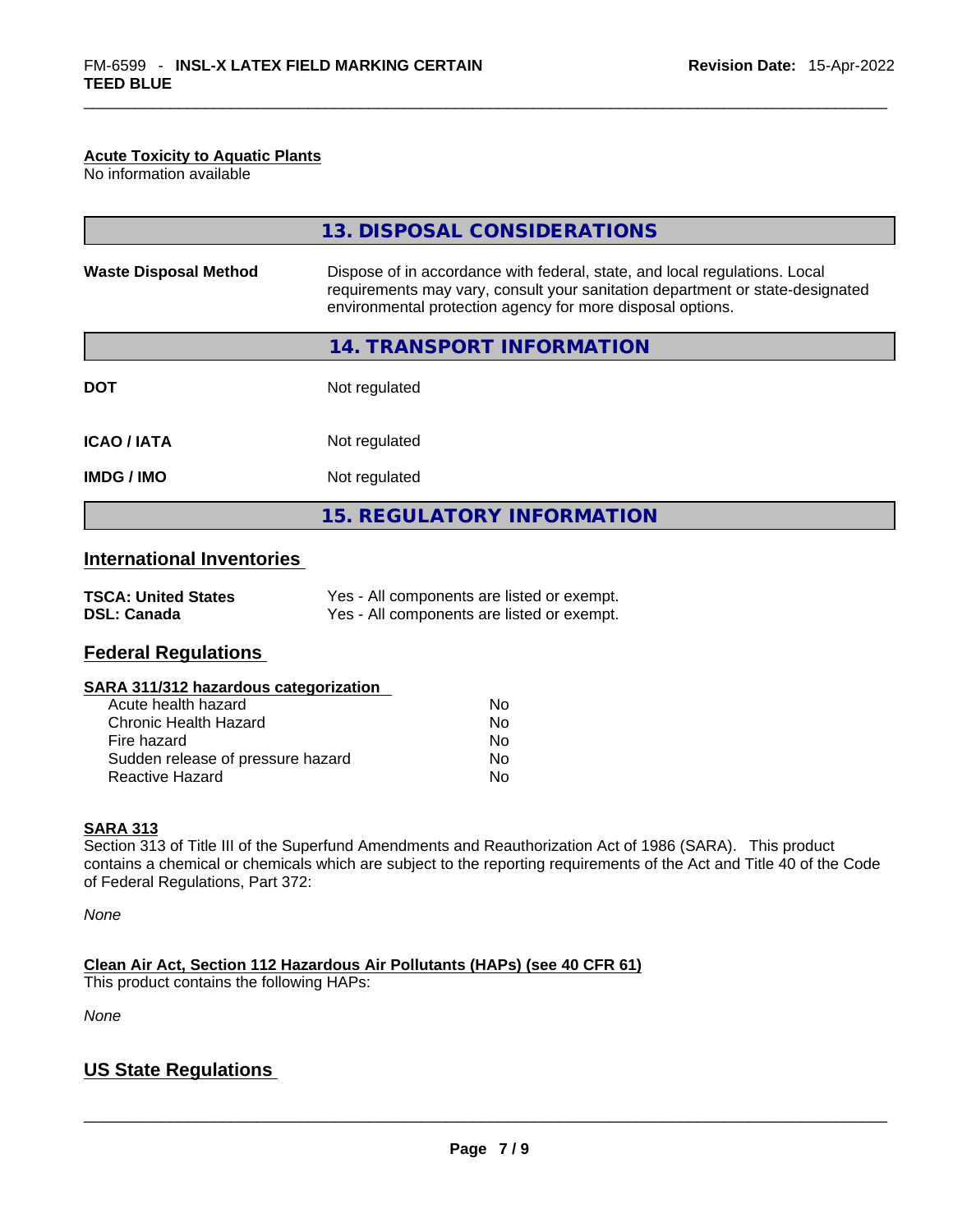### **Acute Toxicity to Aquatic Plants**

No information available

|                              | 13. DISPOSAL CONSIDERATIONS                                                                                                                                                                                               |
|------------------------------|---------------------------------------------------------------------------------------------------------------------------------------------------------------------------------------------------------------------------|
| <b>Waste Disposal Method</b> | Dispose of in accordance with federal, state, and local regulations. Local<br>requirements may vary, consult your sanitation department or state-designated<br>environmental protection agency for more disposal options. |
|                              | 14. TRANSPORT INFORMATION                                                                                                                                                                                                 |
| <b>DOT</b>                   | Not regulated                                                                                                                                                                                                             |
| <b>ICAO/IATA</b>             | Not regulated                                                                                                                                                                                                             |
| <b>IMDG / IMO</b>            | Not regulated                                                                                                                                                                                                             |
|                              | <b>15. REGULATORY INFORMATION</b>                                                                                                                                                                                         |

## **International Inventories**

| <b>TSCA: United States</b> | Yes - All components are listed or exempt. |
|----------------------------|--------------------------------------------|
| <b>DSL: Canada</b>         | Yes - All components are listed or exempt. |

### **Federal Regulations**

### **SARA 311/312 hazardous categorization**

| Acute health hazard               | Nο |
|-----------------------------------|----|
| Chronic Health Hazard             | Nο |
| Fire hazard                       | Nο |
| Sudden release of pressure hazard | No |
| Reactive Hazard                   | N٥ |

### **SARA 313**

Section 313 of Title III of the Superfund Amendments and Reauthorization Act of 1986 (SARA). This product contains a chemical or chemicals which are subject to the reporting requirements of the Act and Title 40 of the Code of Federal Regulations, Part 372:

*None*

**Clean Air Act,Section 112 Hazardous Air Pollutants (HAPs) (see 40 CFR 61)**

This product contains the following HAPs:

*None*

### **US State Regulations**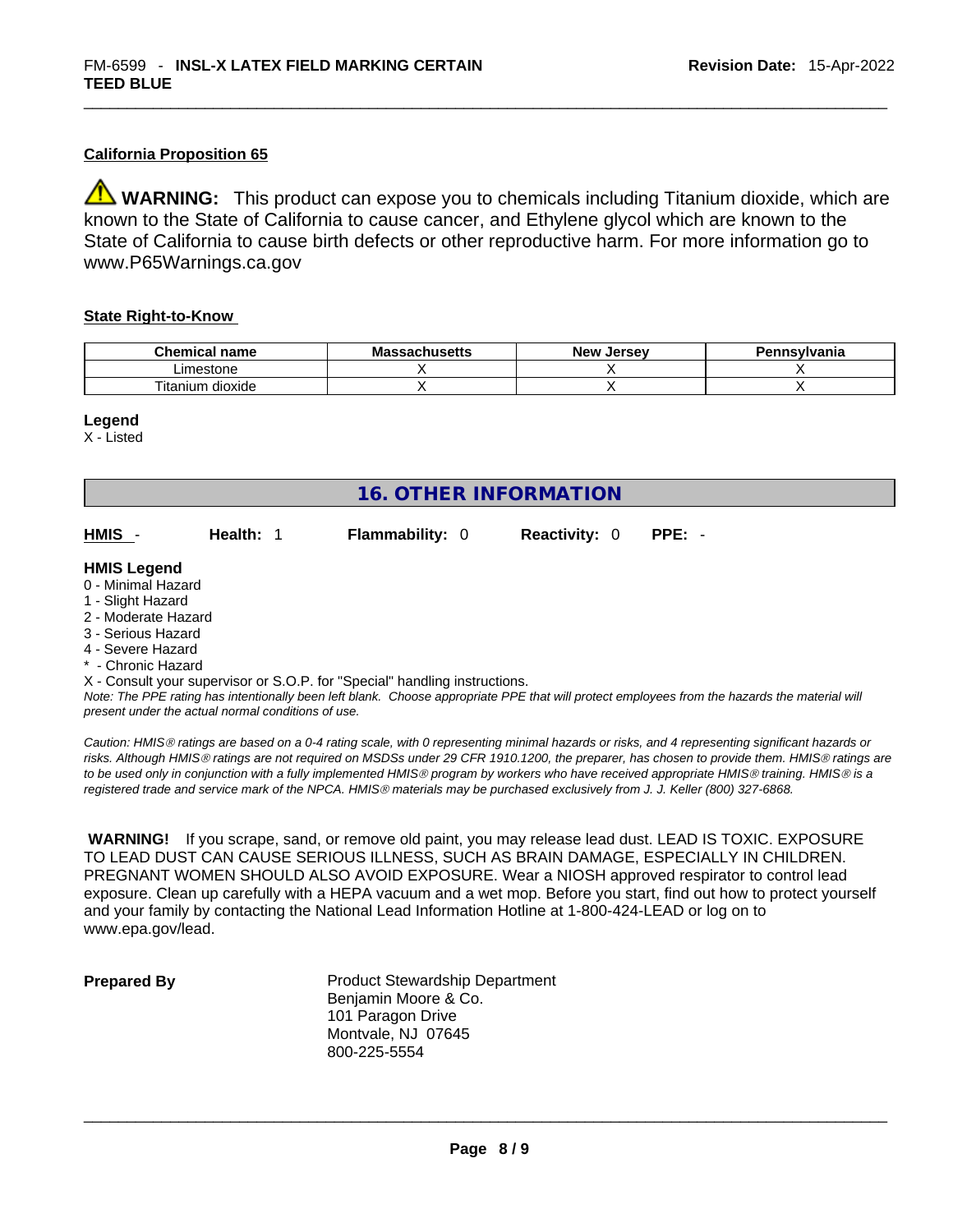### **California Proposition 65**

**WARNING:** This product can expose you to chemicals including Titanium dioxide, which are known to the State of California to cause cancer, and Ethylene glycol which are known to the State of California to cause birth defects or other reproductive harm. For more information go to www.P65Warnings.ca.gov

### **State Right-to-Know**

| <b>Chemical</b><br>name    | sachusetts: | <b>New</b><br>. Jersev | Pennsylvania |
|----------------------------|-------------|------------------------|--------------|
| ∟imestone                  |             |                        |              |
| ÷.<br>dioxide<br>' itanium |             |                        |              |

### **Legend**

X - Listed

| <b>16. OTHER INFORMATION</b>                                                                                                                          |                                                    |                                                                            |                      |                                                                                                                                                                                                                                                                                         |
|-------------------------------------------------------------------------------------------------------------------------------------------------------|----------------------------------------------------|----------------------------------------------------------------------------|----------------------|-----------------------------------------------------------------------------------------------------------------------------------------------------------------------------------------------------------------------------------------------------------------------------------------|
| HMIS -                                                                                                                                                | Health: 1                                          | <b>Flammability: 0</b>                                                     | <b>Reactivity: 0</b> | $PPE: -$                                                                                                                                                                                                                                                                                |
| <b>HMIS Legend</b><br>0 - Minimal Hazard<br>1 - Slight Hazard<br>2 - Moderate Hazard<br>3 - Serious Hazard<br>4 - Severe Hazard<br>* - Chronic Hazard | present under the actual normal conditions of use. | X - Consult your supervisor or S.O.P. for "Special" handling instructions. |                      | Note: The PPE rating has intentionally been left blank. Choose appropriate PPE that will protect employees from the hazards the material will                                                                                                                                           |
|                                                                                                                                                       |                                                    |                                                                            |                      | Caution: HMIS® ratings are based on a 0-4 rating scale, with 0 representing minimal hazards or risks, and 4 representing significant hazards or<br>2012 Although I B HOS and the contract of the HODO. The OO OFD 1010 1000 the second has the change of any 11 HOS and the contract of |

*risks. Although HMISÒ ratings are not required on MSDSs under 29 CFR 1910.1200, the preparer, has chosen to provide them. HMISÒ ratings are to be used only in conjunction with a fully implemented HMISÒ program by workers who have received appropriate HMISÒ training. HMISÒ is a registered trade and service mark of the NPCA. HMISÒ materials may be purchased exclusively from J. J. Keller (800) 327-6868.* 

 **WARNING!** If you scrape, sand, or remove old paint, you may release lead dust. LEAD IS TOXIC. EXPOSURE TO LEAD DUST CAN CAUSE SERIOUS ILLNESS, SUCH AS BRAIN DAMAGE, ESPECIALLY IN CHILDREN. PREGNANT WOMEN SHOULD ALSO AVOID EXPOSURE.Wear a NIOSH approved respirator to control lead exposure. Clean up carefully with a HEPA vacuum and a wet mop. Before you start, find out how to protect yourself and your family by contacting the National Lead Information Hotline at 1-800-424-LEAD or log on to www.epa.gov/lead.

| <b>Prepared By</b> |  |  |
|--------------------|--|--|
|                    |  |  |

**Product Stewardship Department** Benjamin Moore & Co. 101 Paragon Drive Montvale, NJ 07645 800-225-5554